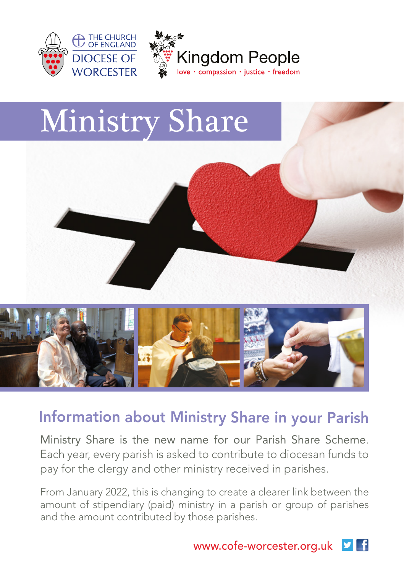

## Ministry Share





## Information about Ministry Share in your Parish

Ministry Share is the new name for our Parish Share Scheme. Each year, every parish is asked to contribute to diocesan funds to pay for the clergy and other ministry received in parishes.

From January 2022, this is changing to create a clearer link between the amount of stipendiary (paid) ministry in a parish or group of parishes and the amount contributed by those parishes.

> www.cofe-worcester.org.uk  $\mathbf{v}$  f